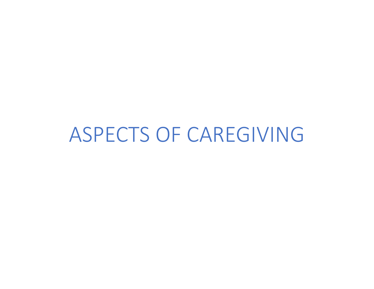ASPECTS OF CAREGIVING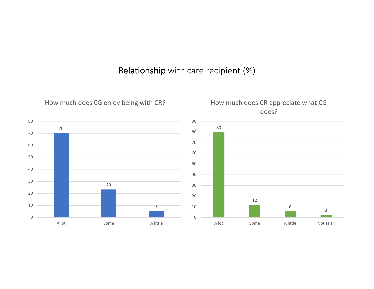## Relationship with care recipient (%)

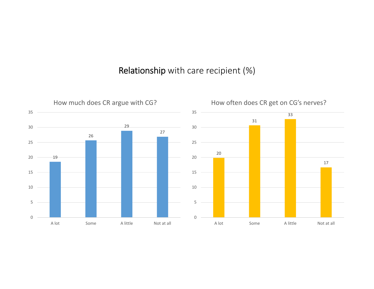#### Relationship with care recipient (%)

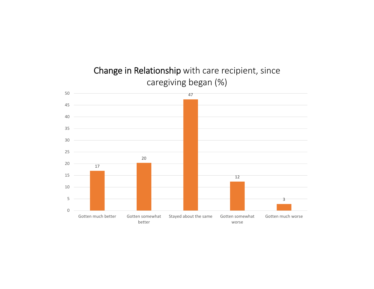

## Change in Relationship with care recipient, since caregiving began (%)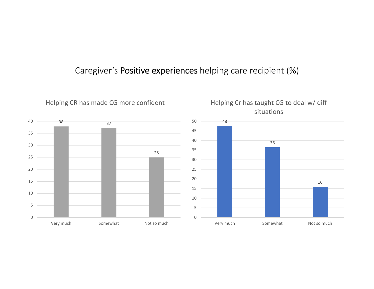## Caregiver's Positive experiences helping care recipient (%)

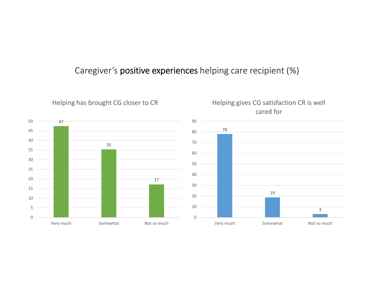## Caregiver's positive experiences helping care recipient (%)

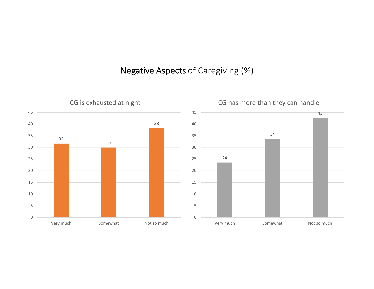## Negative Aspects of Caregiving (%)

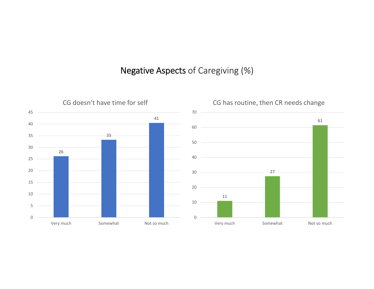## Negative Aspects of Caregiving (%)

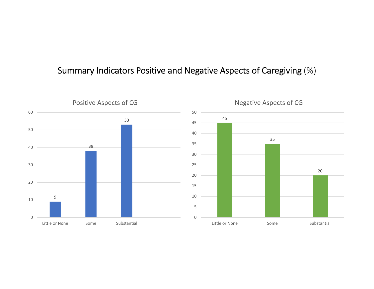#### 9 Little or None Some Substantial Positive Aspects of CG 5 Little or None Some Some Substantial Negative Aspects of CG

#### Summary Indicators Positive and Negative Aspects of Caregiving (%)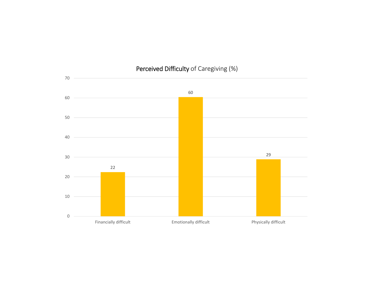

#### Perceived Difficulty of Caregiving (%)